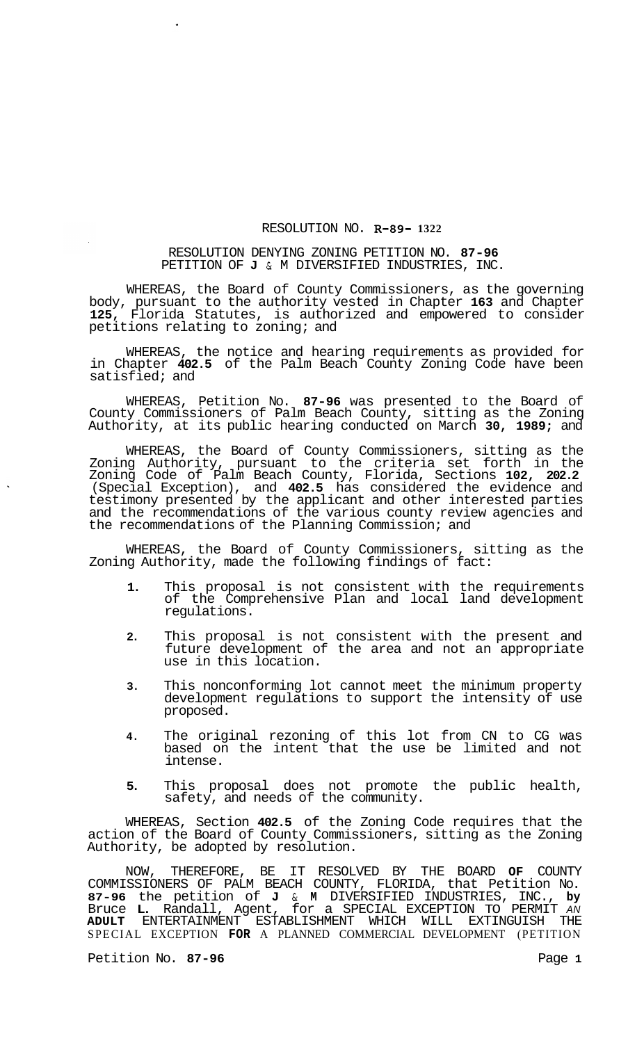## RESOLUTION NO. **R-89- 1322**

## RESOLUTION DENYING ZONING PETITION NO. **87-96**  PETITION OF **J** & M DIVERSIFIED INDUSTRIES, INC.

WHEREAS, the Board of County Commissioners, as the governing body, pursuant to the authority vested in Chapter **163** and Chapter **125,** Florida Statutes, is authorized and empowered to consider petitions relating to zoning; and

WHEREAS, the notice and hearing requirements as provided for in Chapter **402.5** of the Palm Beach County Zoning Code have been satisfied; and

WHEREAS, Petition No. **87-96** was presented to the Board of County Commissioners of Palm Beach County, sitting as the Zoning Authority, at its public hearing conducted on March **30, 1989;** and

WHEREAS, the Board of County Commissioners, sitting as the Zoning Authority, pursuant to the criteria set forth in the Zoning Code of Palm Beach County, Florida, Sections **102, 202.2**  (Special Exception), and **402.5** has considered the evidence and testimony presented by the applicant and other interested parties and the recommendations of the various county review agencies and the recommendations of the Planning Commission; and

WHEREAS, the Board of County Commissioners, sitting as the Zoning Authority, made the following findings of fact:

- **1.** This proposal is not consistent with the requirements of the Comprehensive Plan and local land development regulations.
- **2.** This proposal is not consistent with the present and future development of the area and not an appropriate use in this location.
- **3.** This nonconforming lot cannot meet the minimum property development regulations to support the intensity of use proposed.
- **4.** The original rezoning of this lot from CN to CG was based on the intent that the use be limited and not intense.
- **5.** This proposal does not promote the public health, safety, and needs of the community.

WHEREAS, Section **402.5** of the Zoning Code requires that the action of the Board of County Commissioners, sitting as the Zoning Authority, be adopted by resolution.

NOW, THEREFORE, BE IT RESOLVED BY THE BOARD **OF** COUNTY COMMISSIONERS OF PALM BEACH COUNTY, FLORIDA, that Petition No. **87-96** the petition of **J** & **M** DIVERSIFIED INDUSTRIES, INC., **by**  Bruce **L.** Randall, Agent, for a SPECIAL EXCEPTION TO PERMIT *AN*  **ADULT** ENTERTAINMENT ESTABLISHMENT WHICH WILL EXTINGUISH THE SPECIAL EXCEPTION **FOR** A PLANNED COMMERCIAL DEVELOPMENT (PETITION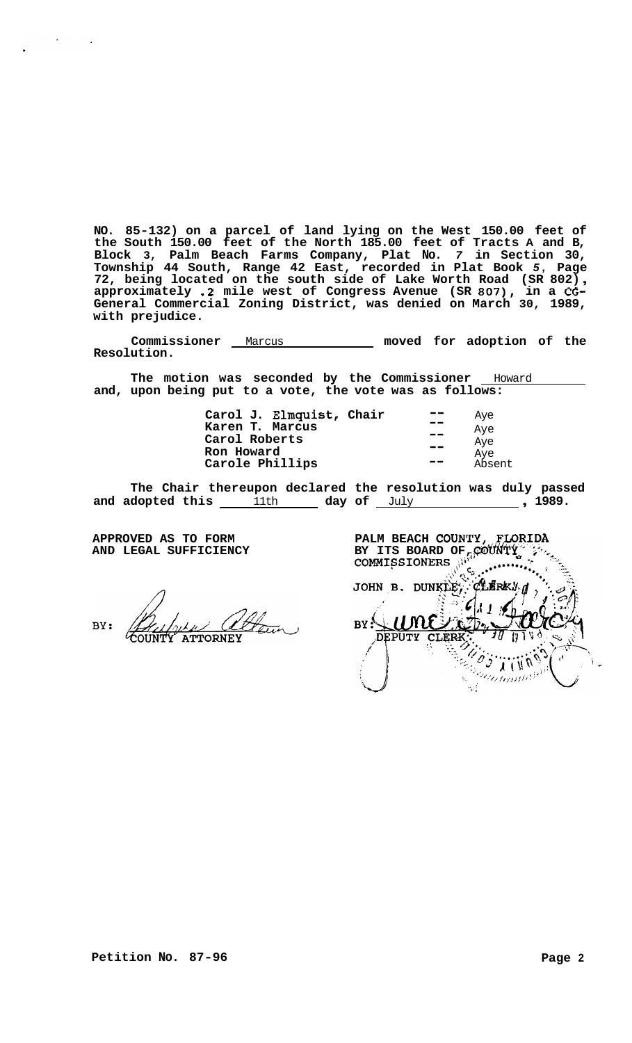<span id="page-1-0"></span>**NO. 85-132) on a parcel of land lying on the West 150.00 feet of the South 150.00 feet of the North 185.00 feet of Tracts A and B, Block 3, Palm Beach Farms Company, Plat No.** *7* **in Section 30,**  Township 44 South, Range 42 East, recorded in Plat Book 5, Page<br>72, being located on the south side of Lake Worth Road (SR 802),<br>approximately .2 mile west of Congress Avenue (SR 807), in a CG-**General Commercial Zoning District, was denied on March 30, 1989, with prejudice.** 

Commissioner Marcus **Marcus** moved for adoption of the **Resolution.** 

The motion was seconded by the Commissioner **Howard and, upon being put to a vote, the vote was as follows:** 

| Carol J. Elmquist, Chair | --      | Aye    |
|--------------------------|---------|--------|
| Karen T. Marcus          | $\sim$  | Aye    |
| Carol Roberts            | --      | Aye    |
| Ron Howard               |         | Aye    |
| Carole Phillips          | است میں | Absent |

**The Chair thereupon declared the resolution was duly passed**  and adopted this 11th aday of July 1989.

**AND LEGAL SUFFICIENCY** 

BY: **ATTORNE** 

**APPROVED AS TO FORM PALM BEACH COUNTY, FLORIDA**<br>AND LEGAL SUFFICIENCY BY ITS BOARD OF, COUNTY  $\tilde{\mathbf{C}}$ JOHN B. DUNKLEY. **CLERK!** առ  $BY:$ **DEPUTY CLER**  $\mathbf{y}$  (  $\mathbf{y}$ U '. Perintman